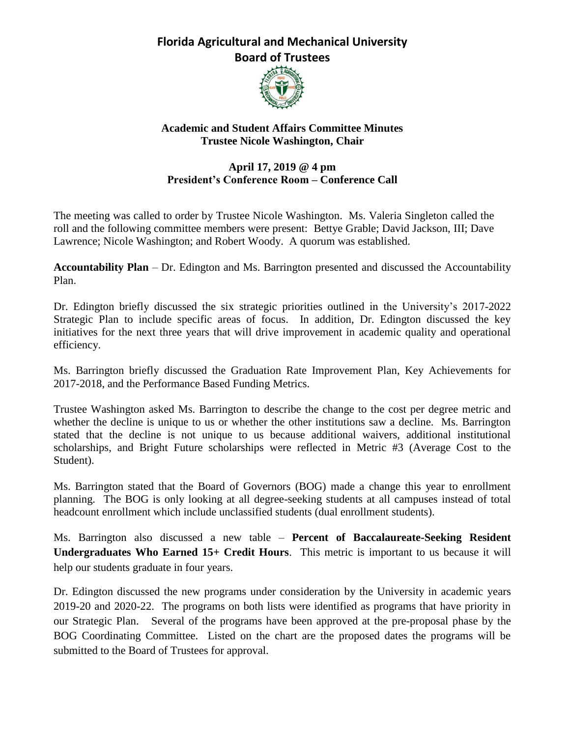## **Florida Agricultural and Mechanical University Board of Trustees**



## **Academic and Student Affairs Committee Minutes Trustee Nicole Washington, Chair**

## **April 17, 2019 @ 4 pm President's Conference Room – Conference Call**

The meeting was called to order by Trustee Nicole Washington. Ms. Valeria Singleton called the roll and the following committee members were present: Bettye Grable; David Jackson, III; Dave Lawrence; Nicole Washington; and Robert Woody. A quorum was established.

**Accountability Plan** – Dr. Edington and Ms. Barrington presented and discussed the Accountability Plan.

Dr. Edington briefly discussed the six strategic priorities outlined in the University's 2017-2022 Strategic Plan to include specific areas of focus. In addition, Dr. Edington discussed the key initiatives for the next three years that will drive improvement in academic quality and operational efficiency.

Ms. Barrington briefly discussed the Graduation Rate Improvement Plan, Key Achievements for 2017-2018, and the Performance Based Funding Metrics.

Trustee Washington asked Ms. Barrington to describe the change to the cost per degree metric and whether the decline is unique to us or whether the other institutions saw a decline. Ms. Barrington stated that the decline is not unique to us because additional waivers, additional institutional scholarships, and Bright Future scholarships were reflected in Metric #3 (Average Cost to the Student).

Ms. Barrington stated that the Board of Governors (BOG) made a change this year to enrollment planning. The BOG is only looking at all degree-seeking students at all campuses instead of total headcount enrollment which include unclassified students (dual enrollment students).

Ms. Barrington also discussed a new table – **Percent of Baccalaureate-Seeking Resident Undergraduates Who Earned 15+ Credit Hours**. This metric is important to us because it will help our students graduate in four years.

Dr. Edington discussed the new programs under consideration by the University in academic years 2019-20 and 2020-22. The programs on both lists were identified as programs that have priority in our Strategic Plan. Several of the programs have been approved at the pre-proposal phase by the BOG Coordinating Committee. Listed on the chart are the proposed dates the programs will be submitted to the Board of Trustees for approval.